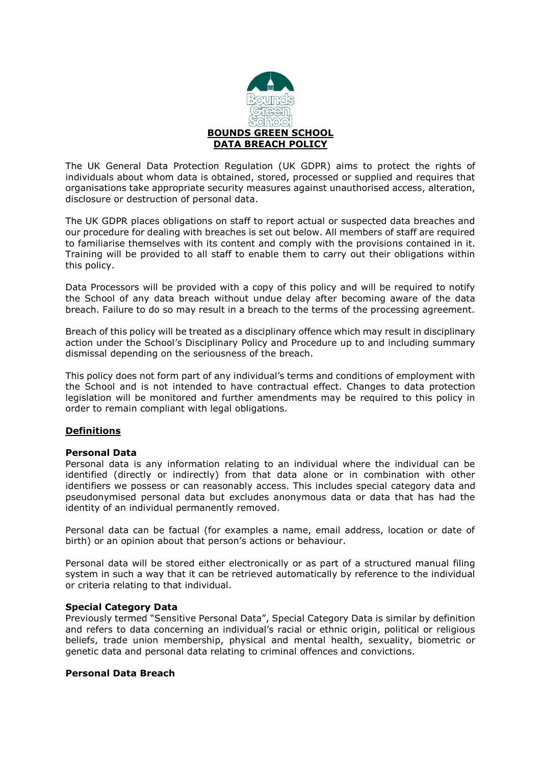

The UK General Data Protection Regulation (UK GDPR) aims to protect the rights of individuals about whom data is obtained, stored, processed or supplied and requires that organisations take appropriate security measures against unauthorised access, alteration, disclosure or destruction of personal data.

The UK GDPR places obligations on staff to report actual or suspected data breaches and our procedure for dealing with breaches is set out below. All members of staff are required to familiarise themselves with its content and comply with the provisions contained in it. Training will be provided to all staff to enable them to carry out their obligations within this policy.

Data Processors will be provided with a copy of this policy and will be required to notify the School of any data breach without undue delay after becoming aware of the data breach. Failure to do so may result in a breach to the terms of the processing agreement.

Breach of this policy will be treated as a disciplinary offence which may result in disciplinary action under the School's Disciplinary Policy and Procedure up to and including summary dismissal depending on the seriousness of the breach.

This policy does not form part of any individual's terms and conditions of employment with the School and is not intended to have contractual effect. Changes to data protection legislation will be monitored and further amendments may be required to this policy in order to remain compliant with legal obligations.

### **Definitions**

### **Personal Data**

Personal data is any information relating to an individual where the individual can be identified (directly or indirectly) from that data alone or in combination with other identifiers we possess or can reasonably access. This includes special category data and pseudonymised personal data but excludes anonymous data or data that has had the identity of an individual permanently removed.

Personal data can be factual (for examples a name, email address, location or date of birth) or an opinion about that person's actions or behaviour.

Personal data will be stored either electronically or as part of a structured manual filing system in such a way that it can be retrieved automatically by reference to the individual or criteria relating to that individual.

### **Special Category Data**

Previously termed "Sensitive Personal Data", Special Category Data is similar by definition and refers to data concerning an individual's racial or ethnic origin, political or religious beliefs, trade union membership, physical and mental health, sexuality, biometric or genetic data and personal data relating to criminal offences and convictions.

#### **Personal Data Breach**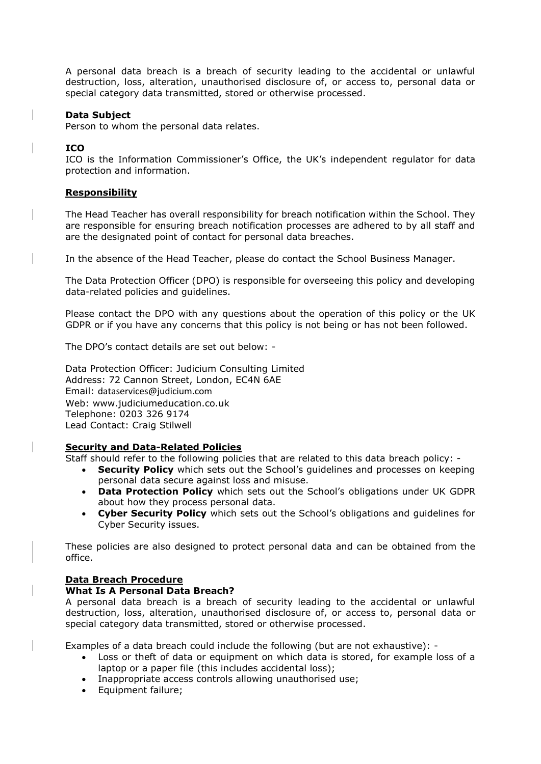A personal data breach is a breach of security leading to the accidental or unlawful destruction, loss, alteration, unauthorised disclosure of, or access to, personal data or special category data transmitted, stored or otherwise processed.

### **Data Subject**

Person to whom the personal data relates.

## **ICO**

ICO is the Information Commissioner's Office, the UK's independent regulator for data protection and information.

### **Responsibility**

The Head Teacher has overall responsibility for breach notification within the School. They are responsible for ensuring breach notification processes are adhered to by all staff and are the designated point of contact for personal data breaches.

In the absence of the Head Teacher, please do contact the School Business Manager.

The Data Protection Officer (DPO) is responsible for overseeing this policy and developing data-related policies and guidelines.

Please contact the DPO with any questions about the operation of this policy or the UK GDPR or if you have any concerns that this policy is not being or has not been followed.

The DPO's contact details are set out below: -

Data Protection Officer: Judicium Consulting Limited Address: 72 Cannon Street, London, EC4N 6AE Email: [dataservices@judicium.com](mailto:dataservices@judicium.com) Web: www.judiciumeducation.co.uk Telephone: 0203 326 9174 Lead Contact: Craig Stilwell

# **Security and Data-Related Policies**

Staff should refer to the following policies that are related to this data breach policy: -

- **Security Policy** which sets out the School's guidelines and processes on keeping personal data secure against loss and misuse.
- **Data Protection Policy** which sets out the School's obligations under UK GDPR about how they process personal data.
- **Cyber Security Policy** which sets out the School's obligations and guidelines for Cyber Security issues.

These policies are also designed to protect personal data and can be obtained from the office.

### **Data Breach Procedure**

### **What Is A Personal Data Breach?**

A personal data breach is a breach of security leading to the accidental or unlawful destruction, loss, alteration, unauthorised disclosure of, or access to, personal data or special category data transmitted, stored or otherwise processed.

Examples of a data breach could include the following (but are not exhaustive): -

- Loss or theft of data or equipment on which data is stored, for example loss of a laptop or a paper file (this includes accidental loss);
- Inappropriate access controls allowing unauthorised use;
- Equipment failure;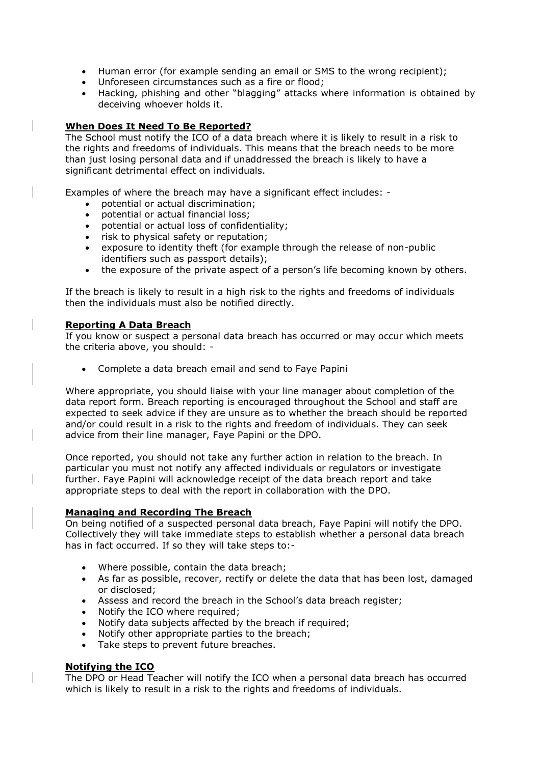- Human error (for example sending an email or SMS to the wrong recipient);
- Unforeseen circumstances such as a fire or flood;
- Hacking, phishing and other "blagging" attacks where information is obtained by deceiving whoever holds it.

## **When Does It Need To Be Reported?**

The School must notify the ICO of a data breach where it is likely to result in a risk to the rights and freedoms of individuals. This means that the breach needs to be more than just losing personal data and if unaddressed the breach is likely to have a significant detrimental effect on individuals.

Examples of where the breach may have a significant effect includes: -

- potential or actual discrimination;
- potential or actual financial loss;
- potential or actual loss of confidentiality;
- risk to physical safety or reputation;
- exposure to identity theft (for example through the release of non-public identifiers such as passport details);
- the exposure of the private aspect of a person's life becoming known by others.

If the breach is likely to result in a high risk to the rights and freedoms of individuals then the individuals must also be notified directly.

### **Reporting A Data Breach**

If you know or suspect a personal data breach has occurred or may occur which meets the criteria above, you should: -

Complete a data breach email and send to Faye Papini

Where appropriate, you should liaise with your line manager about completion of the data report form. Breach reporting is encouraged throughout the School and staff are expected to seek advice if they are unsure as to whether the breach should be reported and/or could result in a risk to the rights and freedom of individuals. They can seek advice from their line manager, Faye Papini or the DPO.

Once reported, you should not take any further action in relation to the breach. In particular you must not notify any affected individuals or regulators or investigate further. Faye Papini will acknowledge receipt of the data breach report and take appropriate steps to deal with the report in collaboration with the DPO.

### **Managing and Recording The Breach**

On being notified of a suspected personal data breach, Faye Papini will notify the DPO. Collectively they will take immediate steps to establish whether a personal data breach has in fact occurred. If so they will take steps to:-

- Where possible, contain the data breach;
- As far as possible, recover, rectify or delete the data that has been lost, damaged or disclosed;
- Assess and record the breach in the School's data breach register;
- Notify the ICO where required;
- Notify data subjects affected by the breach if required;
- Notify other appropriate parties to the breach:
- Take steps to prevent future breaches.

# **Notifying the ICO**

The DPO or Head Teacher will notify the ICO when a personal data breach has occurred which is likely to result in a risk to the rights and freedoms of individuals.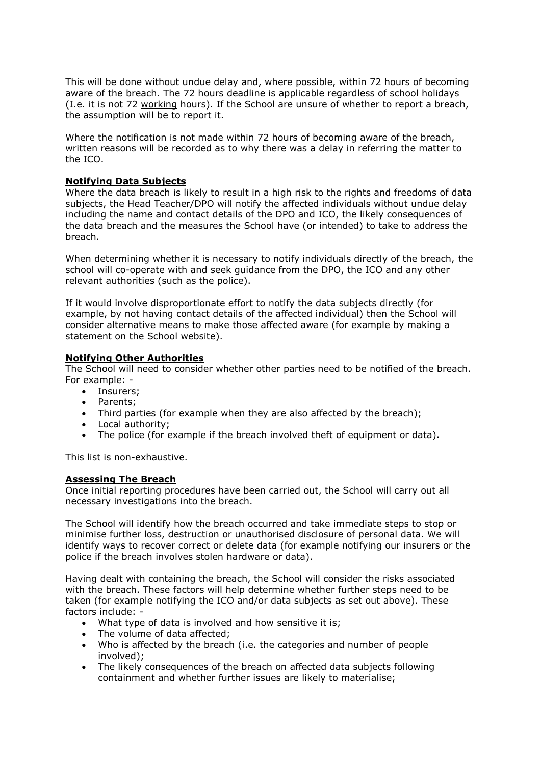This will be done without undue delay and, where possible, within 72 hours of becoming aware of the breach. The 72 hours deadline is applicable regardless of school holidays (I.e. it is not 72 working hours). If the School are unsure of whether to report a breach, the assumption will be to report it.

Where the notification is not made within 72 hours of becoming aware of the breach, written reasons will be recorded as to why there was a delay in referring the matter to the ICO.

### **Notifying Data Subjects**

Where the data breach is likely to result in a high risk to the rights and freedoms of data subjects, the Head Teacher/DPO will notify the affected individuals without undue delay including the name and contact details of the DPO and ICO, the likely consequences of the data breach and the measures the School have (or intended) to take to address the breach.

When determining whether it is necessary to notify individuals directly of the breach, the school will co-operate with and seek guidance from the DPO, the ICO and any other relevant authorities (such as the police).

If it would involve disproportionate effort to notify the data subjects directly (for example, by not having contact details of the affected individual) then the School will consider alternative means to make those affected aware (for example by making a statement on the School website).

#### **Notifying Other Authorities**

The School will need to consider whether other parties need to be notified of the breach. For example: -

- Insurers;
- Parents;
- Third parties (for example when they are also affected by the breach);
- Local authority:
- The police (for example if the breach involved theft of equipment or data).

This list is non-exhaustive.

## **Assessing The Breach**

Once initial reporting procedures have been carried out, the School will carry out all necessary investigations into the breach.

The School will identify how the breach occurred and take immediate steps to stop or minimise further loss, destruction or unauthorised disclosure of personal data. We will identify ways to recover correct or delete data (for example notifying our insurers or the police if the breach involves stolen hardware or data).

Having dealt with containing the breach, the School will consider the risks associated with the breach. These factors will help determine whether further steps need to be taken (for example notifying the ICO and/or data subjects as set out above). These factors include: -

- What type of data is involved and how sensitive it is;
- The volume of data affected:
- Who is affected by the breach (i.e. the categories and number of people involved);
- The likely consequences of the breach on affected data subjects following containment and whether further issues are likely to materialise;